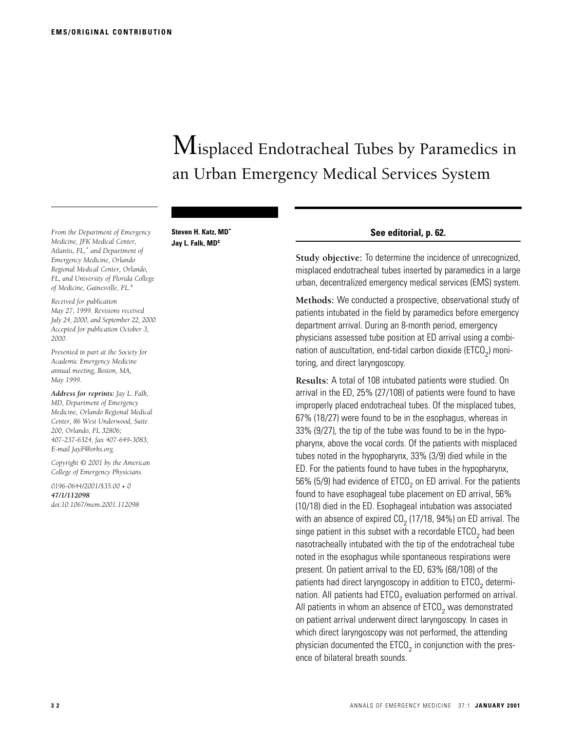# Misplaced Endotracheal Tubes by Paramedics in an Urban Emergency Medical Services System

*From the Department of Emergency Medicine, JFK Medical Center, Atlantis, FL,\* and Department of Emergency Medicine, Orlando Regional Medical Center, Orlando, FL, and University of Florida College of Medicine, Gainesville, FL.‡*

**Steven H. Katz, MD\* Jay L. Falk, MD‡**

*Received for publication May 27, 1999. Revisions received July 24, 2000, and September 22, 2000. Accepted for publication October 3, 2000.*

*Presented in part at the Society for Academic Emergency Medicine annual meeting, Boston, MA, May 1999.*

*Address for reprints: Jay L. Falk, MD, Department of Emergency Medicine, Orlando Regional Medical Center, 86 West Underwood, Suite 200, Orlando, FL 32806; 407-237-6324, fax 407-649-3083; E-mail JayF@orhs.org.*

*Copyright © 2001 by the American College of Emergency Physicians.*

*0196-0644/2001/\$35.00 + 0 47/1/112098 doi:10.1067/mem.2001.112098*

### **See editorial, p. 62.**

**Study objective:** To determine the incidence of unrecognized, misplaced endotracheal tubes inserted by paramedics in a large urban, decentralized emergency medical services (EMS) system.

**Methods:** We conducted a prospective, observational study of patients intubated in the field by paramedics before emergency department arrival. During an 8-month period, emergency physicians assessed tube position at ED arrival using a combination of auscultation, end-tidal carbon dioxide (ETCO<sub>2</sub>) monitoring, and direct laryngoscopy.

**Results:** A total of 108 intubated patients were studied. On arrival in the ED, 25% (27/108) of patients were found to have improperly placed endotracheal tubes. Of the misplaced tubes, 67% (18/27) were found to be in the esophagus, whereas in 33% (9/27), the tip of the tube was found to be in the hypopharynx, above the vocal cords. Of the patients with misplaced tubes noted in the hypopharynx, 33% (3/9) died while in the ED. For the patients found to have tubes in the hypopharynx, 56% (5/9) had evidence of ETCO<sub>2</sub> on ED arrival. For the patients found to have esophageal tube placement on ED arrival, 56% (10/18) died in the ED. Esophageal intubation was associated with an absence of expired  $CO<sub>2</sub>$  (17/18, 94%) on ED arrival. The singe patient in this subset with a recordable  $ETCO<sub>2</sub>$  had been nasotracheally intubated with the tip of the endotracheal tube noted in the esophagus while spontaneous respirations were present. On patient arrival to the ED, 63% (68/108) of the patients had direct laryngoscopy in addition to  $ETCO<sub>2</sub>$  determination. All patients had  $ETCO<sub>2</sub>$  evaluation performed on arrival. All patients in whom an absence of  $ETCO<sub>2</sub>$  was demonstrated on patient arrival underwent direct laryngoscopy. In cases in which direct laryngoscopy was not performed, the attending physician documented the  $ETCO<sub>2</sub>$  in conjunction with the presence of bilateral breath sounds.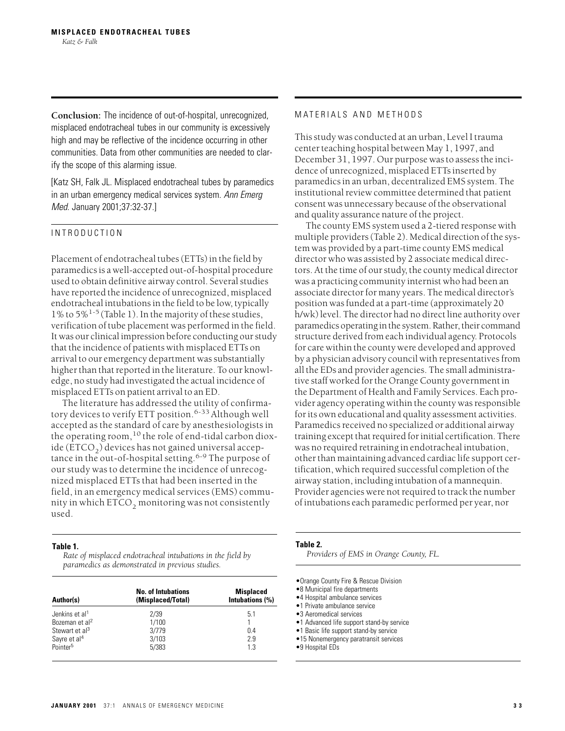**Conclusion:** The incidence of out-of-hospital, unrecognized, misplaced endotracheal tubes in our community is excessively high and may be reflective of the incidence occurring in other communities. Data from other communities are needed to clarify the scope of this alarming issue.

[Katz SH, Falk JL. Misplaced endotracheal tubes by paramedics in an urban emergency medical services system. *Ann Emerg Med.* January 2001;37:32-37.]

# INTRODUCTION

Placement of endotracheal tubes (ETTs) in the field by paramedics is a well-accepted out-of-hospital procedure used to obtain definitive airway control. Several studies have reported the incidence of unrecognized, misplaced endotracheal intubations in the field to be low, typically 1% to  $5\%$ <sup>1-5</sup> (Table 1). In the majority of these studies, verification of tube placement was performed in the field. It was our clinical impression before conducting our study that the incidence of patients with misplaced ETTs on arrival to our emergency department was substantially higher than that reported in the literature. To our knowledge, no study had investigated the actual incidence of misplaced ETTs on patient arrival to an ED.

The literature has addressed the utility of confirmatory devices to verify ETT position.<sup>6-33</sup> Although well accepted as the standard of care by anesthesiologists in the operating room,<sup>10</sup> the role of end-tidal carbon dioxide ( $ETCO<sub>2</sub>$ ) devices has not gained universal acceptance in the out-of-hospital setting.<sup>6-9</sup> The purpose of our study was to determine the incidence of unrecognized misplaced ETTs that had been inserted in the field, in an emergency medical services (EMS) community in which  $ETCO<sub>2</sub>$  monitoring was not consistently used.

### **Table 1.**

*Rate of misplaced endotracheal intubations in the field by paramedics as demonstrated in previous studies.*

| Author(s)                  | <b>No. of Intubations</b><br>(Misplaced/Total) | <b>Misplaced</b><br>Intubations (%) |
|----------------------------|------------------------------------------------|-------------------------------------|
| Jenkins et al <sup>1</sup> | 2/39                                           | 5.1                                 |
| Bozeman et al <sup>2</sup> | 1/100                                          |                                     |
| Stewart et al <sup>3</sup> | 3/779                                          | 0.4                                 |
| Sayre et al <sup>4</sup>   | 3/103                                          | 2.9                                 |
| Pointer <sup>5</sup>       | 5/383                                          | 1.3                                 |

## MATERIALS AND METHODS

This study was conducted at an urban, Level I trauma center teaching hospital between May 1, 1997, and December 31, 1997. Our purpose was to assess the incidence of unrecognized, misplaced ETTs inserted by paramedics in an urban, decentralized EMS system. The institutional review committee determined that patient consent was unnecessary because of the observational and quality assurance nature of the project.

The county EMS system used a 2-tiered response with multiple providers (Table 2). Medical direction of the system was provided by a part-time county EMS medical director who was assisted by 2 associate medical directors. At the time of our study, the county medical director was a practicing community internist who had been an associate director for many years. The medical director's position was funded at a part-time (approximately 20 h/wk) level. The director had no direct line authority over paramedics operating in the system. Rather, their command structure derived from each individual agency. Protocols for care within the county were developed and approved by a physician advisory council with representatives from all the EDs and provider agencies. The small administrative staff worked for the Orange County government in the Department of Health and Family Services. Each provider agency operating within the county was responsible for its own educational and quality assessment activities. Paramedics received no specialized or additional airway training except that required for initial certification. There was no required retraining in endotracheal intubation, other than maintaining advanced cardiac life support certification, which required successful completion of the airway station, including intubation of a mannequin. Provider agencies were not required to track the number of intubations each paramedic performed per year, nor

| able |  |
|------|--|
|------|--|

*Providers of EMS in Orange County, FL.*

- •8 Municipal fire departments
- •4 Hospital ambulance services
- •1 Private ambulance service
- •3 Aeromedical services
- •1 Advanced life support stand-by service
- •1 Basic life support stand-by service
- •15 Nonemergency paratransit services
- •9 Hospital EDs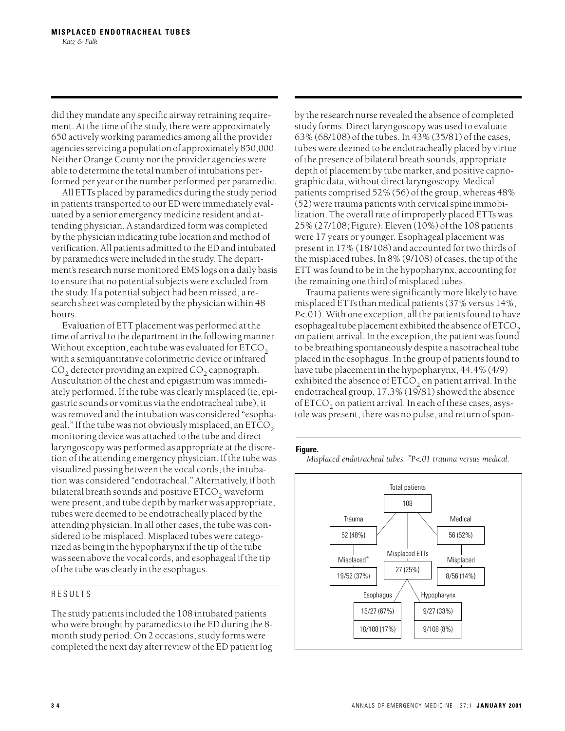did they mandate any specific airway retraining requirement. At the time of the study, there were approximately 650 actively working paramedics among all the provider agencies servicing a population of approximately 850,000. Neither Orange County nor the provider agencies were able to determine the total number of intubations performed per year or the number performed per paramedic.

All ETTs placed by paramedics during the study period in patients transported to our ED were immediately evaluated by a senior emergency medicine resident and attending physician. A standardized form was completed by the physician indicating tube location and method of verification. All patients admitted to the ED and intubated by paramedics were included in the study. The department's research nurse monitored EMS logs on a daily basis to ensure that no potential subjects were excluded from the study. If a potential subject had been missed, a research sheet was completed by the physician within 48 hours.

Evaluation of ETT placement was performed at the time of arrival to the department in the following manner. Without exception, each tube was evaluated for  $ETCO<sub>2</sub>$ with a semiquantitative colorimetric device or infrared  $CO<sub>2</sub>$  detector providing an expired  $CO<sub>2</sub>$  capnograph. Auscultation of the chest and epigastrium was immediately performed. If the tube was clearly misplaced (ie, epigastric sounds or vomitus via the endotracheal tube), it was removed and the intubation was considered "esophageal." If the tube was not obviously misplaced, an  $ETCO<sub>2</sub>$ monitoring device was attached to the tube and direct laryngoscopy was performed as appropriate at the discretion of the attending emergency physician. If the tube was visualized passing between the vocal cords, the intubation was considered "endotracheal." Alternatively, if both bilateral breath sounds and positive  $ETCO<sub>2</sub>$  waveform were present, and tube depth by marker was appropriate, tubes were deemed to be endotracheally placed by the attending physician. In all other cases, the tube was considered to be misplaced. Misplaced tubes were categorized as being in the hypopharynx if the tip of the tube was seen above the vocal cords, and esophageal if the tip of the tube was clearly in the esophagus.

# RESULTS

The study patients included the 108 intubated patients who were brought by paramedics to the ED during the 8 month study period. On 2 occasions, study forms were completed the next day after review of the ED patient log by the research nurse revealed the absence of completed study forms. Direct laryngoscopy was used to evaluate 63% (68/108) of the tubes. In 43% (35/81) of the cases, tubes were deemed to be endotracheally placed by virtue of the presence of bilateral breath sounds, appropriate depth of placement by tube marker, and positive capnographic data, without direct laryngoscopy. Medical patients comprised 52% (56) of the group, whereas 48% (52) were trauma patients with cervical spine immobilization. The overall rate of improperly placed ETTs was 25% (27/108; Figure). Eleven (10%) of the 108 patients were 17 years or younger. Esophageal placement was present in 17% (18/108) and accounted for two thirds of the misplaced tubes. In 8% (9/108) of cases, the tip of the ETT was found to be in the hypopharynx, accounting for the remaining one third of misplaced tubes.

Trauma patients were significantly more likely to have misplaced ETTs than medical patients (37% versus 14%, *P*<.01). With one exception, all the patients found to have esophageal tube placement exhibited the absence of  $ETCO<sub>2</sub>$ on patient arrival. In the exception, the patient was found to be breathing spontaneously despite a nasotracheal tube placed in the esophagus. In the group of patients found to have tube placement in the hypopharynx, 44.4% (4/9) exhibited the absence of  $ETCO<sub>2</sub>$  on patient arrival. In the endotracheal group, 17.3% (19/81) showed the absence of  $ETCO<sub>2</sub>$  on patient arrival. In each of these cases, asystole was present, there was no pulse, and return of spon-

#### **Figure.**

*Misplaced endotracheal tubes. \**P*<.01 trauma versus medical.*

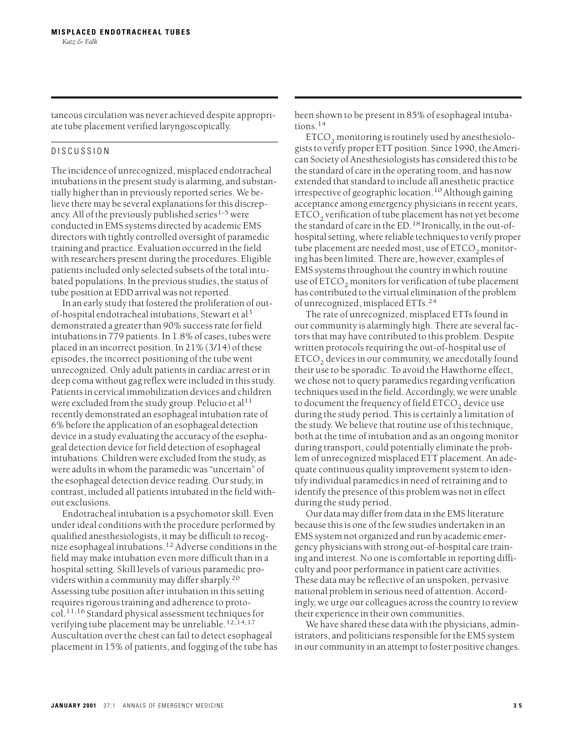taneous circulation was never achieved despite appropriate tube placement verified laryngoscopically.

# DISCUSSION

The incidence of unrecognized, misplaced endotracheal intubations in the present study is alarming, and substantially higher than in previously reported series. We believe there may be several explanations for this discrepancy. All of the previously published series $1-5$  were conducted in EMS systems directed by academic EMS directors with tightly controlled oversight of paramedic training and practice. Evaluation occurred in the field with researchers present during the procedures. Eligible patients included only selected subsets of the total intubated populations. In the previous studies, the status of tube position at EDD arrival was not reported.

In an early study that fostered the proliferation of outof-hospital endotracheal intubations, Stewart et al<sup>3</sup> demonstrated a greater than 90% success rate for field intubations in 779 patients. In 1.8% of cases, tubes were placed in an incorrect position. In 21% (3/14) of these episodes, the incorrect positioning of the tube went unrecognized. Only adult patients in cardiac arrest or in deep coma without gag reflex were included in this study. Patients in cervical immobilization devices and children were excluded from the study group. Pelucio et al<sup>11</sup> recently demonstrated an esophageal intubation rate of 6% before the application of an esophageal detection device in a study evaluating the accuracy of the esophageal detection device for field detection of esophageal intubations. Children were excluded from the study, as were adults in whom the paramedic was "uncertain" of the esophageal detection device reading. Our study, in contrast, included all patients intubated in the field without exclusions.

Endotracheal intubation is a psychomotor skill. Even under ideal conditions with the procedure performed by qualified anesthesiologists, it may be difficult to recognize esophageal intubations.<sup>12</sup> Adverse conditions in the field may make intubation even more difficult than in a hospital setting. Skill levels of various paramedic providers within a community may differ sharply.<sup>20</sup> Assessing tube position after intubation in this setting requires rigorous training and adherence to protocol.11,16 Standard physical assessment techniques for verifying tube placement may be unreliable.<sup>12,14,17</sup> Auscultation over the chest can fail to detect esophageal placement in 15% of patients, and fogging of the tube has been shown to be present in 85% of esophageal intubations.<sup>14</sup>

 $ETCO<sub>2</sub>$  monitoring is routinely used by anesthesiologists to verify proper ETT position. Since 1990, the American Society of Anesthesiologists has considered this to be the standard of care in the operating room, and has now extended that standard to include all anesthetic practice irrespective of geographic location.<sup>10</sup> Although gaining acceptance among emergency physicians in recent years, ETCO<sub>2</sub> verification of tube placement has not yet become the standard of care in the ED.<sup>18</sup> Ironically, in the out-ofhospital setting, where reliable techniques to verify proper tube placement are needed most, use of  $ETCO<sub>2</sub>$  monitoring has been limited. There are, however, examples of EMS systems throughout the country in which routine use of  $ETCO<sub>2</sub>$  monitors for verification of tube placement has contributed to the virtual elimination of the problem of unrecognized, misplaced ETTs.<sup>24</sup>

The rate of unrecognized, misplaced ETTs found in our community is alarmingly high. There are several factors that may have contributed to this problem. Despite written protocols requiring the out-of-hospital use of ETCO<sub>2</sub> devices in our community, we anecdotally found their use to be sporadic. To avoid the Hawthorne effect, we chose not to query paramedics regarding verification techniques used in the field. Accordingly, we were unable to document the frequency of field  $ETCO<sub>2</sub>$  device use during the study period. This is certainly a limitation of the study. We believe that routine use of this technique, both at the time of intubation and as an ongoing monitor during transport, could potentially eliminate the problem of unrecognized misplaced ETT placement. An adequate continuous quality improvement system to identify individual paramedics in need of retraining and to identify the presence of this problem was not in effect during the study period.

Our data may differ from data in the EMS literature because this is one of the few studies undertaken in an EMS system not organized and run by academic emergency physicians with strong out-of-hospital care training and interest. No one is comfortable in reporting difficulty and poor performance in patient care activities. These data may be reflective of an unspoken, pervasive national problem in serious need of attention. Accordingly, we urge our colleagues across the country to review their experience in their own communities.

We have shared these data with the physicians, administrators, and politicians responsible for the EMS system in our community in an attempt to foster positive changes.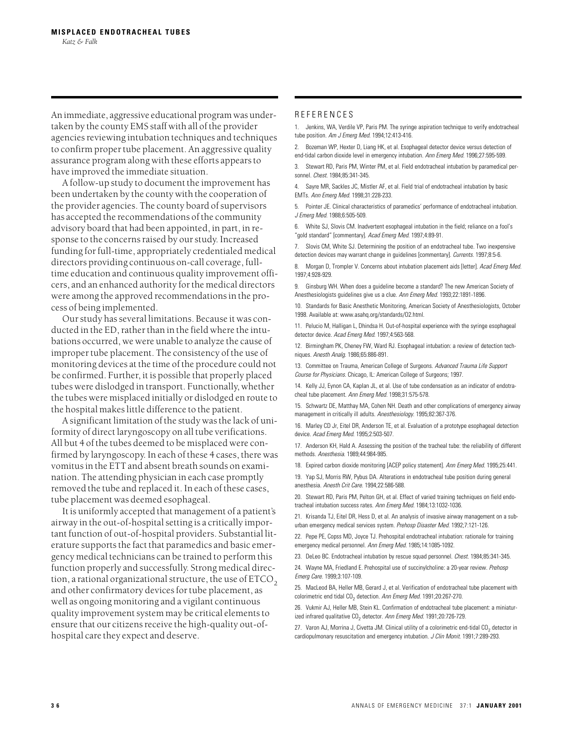An immediate, aggressive educational program was undertaken by the county EMS staff with all of the provider agencies reviewing intubation techniques and techniques to confirm proper tube placement. An aggressive quality assurance program along with these efforts appears to have improved the immediate situation.

A follow-up study to document the improvement has been undertaken by the county with the cooperation of the provider agencies. The county board of supervisors has accepted the recommendations of the community advisory board that had been appointed, in part, in response to the concerns raised by our study. Increased funding for full-time, appropriately credentialed medical directors providing continuous on-call coverage, fulltime education and continuous quality improvement officers, and an enhanced authority for the medical directors were among the approved recommendations in the process of being implemented.

Our study has several limitations. Because it was conducted in the ED, rather than in the field where the intubations occurred, we were unable to analyze the cause of improper tube placement. The consistency of the use of monitoring devices at the time of the procedure could not be confirmed. Further, it is possible that properly placed tubes were dislodged in transport. Functionally, whether the tubes were misplaced initially or dislodged en route to the hospital makes little difference to the patient.

A significant limitation of the study was the lack of uniformity of direct laryngoscopy on all tube verifications. All but 4 of the tubes deemed to be misplaced were confirmed by laryngoscopy. In each of these 4 cases, there was vomitus in the ETT and absent breath sounds on examination. The attending physician in each case promptly removed the tube and replaced it. In each of these cases, tube placement was deemed esophageal.

It is uniformly accepted that management of a patient's airway in the out-of-hospital setting is a critically important function of out-of-hospital providers. Substantial literature supports the fact that paramedics and basic emergency medical technicians can be trained to perform this function properly and successfully. Strong medical direction, a rational organizational structure, the use of  $ETCO<sub>2</sub>$ and other confirmatory devices for tube placement, as well as ongoing monitoring and a vigilant continuous quality improvement system may be critical elements to ensure that our citizens receive the high-quality out-ofhospital care they expect and deserve.

#### REFERENCES

1. Jenkins, WA, Verdile VP, Paris PM. The syringe aspiration technique to verify endotracheal tube position. *Am J Emerg Med.* 1994;12:413-416.

2. Bozeman WP, Hexter D, Liang HK, et al. Esophageal detector device versus detection of end-tidal carbon dioxide level in emergency intubation. *Ann Emerg Med.* 1996;27:595-599.

3. Stewart RD, Paris PM, Winter PM, et al. Field endotracheal intubation by paramedical personnel. *Chest.* 1984;85:341-345.

4. Sayre MR, Sackles JC, Mistler AF, et al. Field trial of endotracheal intubation by basic EMTs. *Ann Emerg Med.* 1998;31:228-233.

5. Pointer JE. Clinical characteristics of paramedics' performance of endotracheal intubation. *J Emerg Med.* 1988;6:505-509.

6. White SJ, Slovis CM. Inadvertent esophageal intubation in the field; reliance on a fool's "gold standard" [commentary]. *Acad Emerg Med.* 1997;4:89-91.

7. Slovis CM, White SJ. Determining the position of an endotracheal tube. Two inexpensive detection devices may warrant change in guidelines [commentary]. *Currents.* 1997;8:5-6.

8. Morgan D, Trompler V. Concerns about intubation placement aids [letter]. *Acad Emerg Med.* 1997;4:928-929.

9. Ginsburg WH. When does a guideline become a standard? The new American Society of Anesthesiologists guidelines give us a clue. *Ann Emerg Med.* 1993;22:1891-1896.

10. Standards for Basic Anesthetic Monitoring, American Society of Anesthesiologists, October 1998. Available at: www.asahq.org/standards/O2.html.

11. Pelucio M, Halligan L, Dhindsa H. Out-of-hospital experience with the syringe esophageal detector device. *Acad Emerg Med.* 1997;4:563-568.

12. Birmingham PK, Cheney FW, Ward RJ. Esophageal intubation: a review of detection techniques. *Anesth Analg.* 1986;65:886-891.

13. Committee on Trauma, American College of Surgeons. *Advanced Trauma Life Support Course for Physicians.* Chicago, IL: American College of Surgeons; 1997.

14. Kelly JJ, Eynon CA, Kaplan JL, et al. Use of tube condensation as an indicator of endotracheal tube placement. *Ann Emerg Med.* 1998;31:575-578.

15. Schwartz DE, Matthay MA, Cohen NH. Death and other complications of emergency airway management in critically ill adults. *Anesthesiology.* 1995;82:367-376.

16. Marley CD Jr, Eitel DR, Anderson TE, et al. Evaluation of a prototype esophageal detection device. *Acad Emerg Med.* 1995;2:503-507.

17. Anderson KH, Hald A. Assessing the position of the tracheal tube: the reliability of different methods. *Anesthesia.* 1989;44:984-985.

18. Expired carbon dioxide monitoring [ACEP policy statement]. *Ann Emerg Med.* 1995;25:441.

19. Yap SJ, Morris RW, Pybus DA. Alterations in endotracheal tube position during general anesthesia. *Anesth Crit Care.* 1994;22:586-588.

20. Stewart RD, Paris PM, Pelton GH, et al. Effect of varied training techniques on field endotracheal intubation success rates. *Ann Emerg Med.* 1984;13:1032-1036.

21. Krisanda TJ, Eitel DR, Hess D, et al. An analysis of invasive airway management on a suburban emergency medical services system. *Prehosp Disaster Med.* 1992;7:121-126.

22. Pepe PE, Copss MD, Joyce TJ. Prehospital endotracheal intubation: rationale for training emergency medical personnel. *Ann Emerg Med.* 1985;14:1085-1092.

23. DeLeo BC. Endotracheal intubation by rescue squad personnel. *Chest.* 1984;85:341-345.

24. Wayne MA, Friedland E. Prehospital use of succinylcholine: a 20-year review. *Prehosp Emerg Care.* 1999;3:107-109.

25. MacLeod BA, Heller MB, Gerard J, et al. Verification of endotracheal tube placement with colorimetric end tidal CO<sub>2</sub> detection. Ann Emerg Med. 1991;20:267-270.

26. Vukmir AJ, Heller MB, Stein KL. Confirmation of endotracheal tube placement: a miniaturized infrared qualitative CO<sub>2</sub> detector. Ann Emerg Med. 1991;20:726-729.

27. Varon AJ, Morrina J, Civetta JM. Clinical utility of a colorimetric end-tidal CO<sub>2</sub> detector in cardiopulmonary resuscitation and emergency intubation. *J Clin Monit.* 1991;7:289-293.